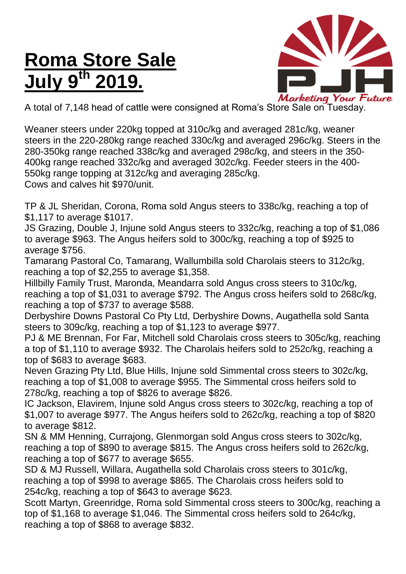## **Roma Store Sale July 9 th 2019.**



A total of 7,148 head of cattle were consigned at Roma's Store Sale on Tuesday.

Weaner steers under 220kg topped at 310c/kg and averaged 281c/kg, weaner steers in the 220-280kg range reached 330c/kg and averaged 296c/kg. Steers in the 280-350kg range reached 338c/kg and averaged 298c/kg, and steers in the 350- 400kg range reached 332c/kg and averaged 302c/kg. Feeder steers in the 400- 550kg range topping at 312c/kg and averaging 285c/kg.

Cows and calves hit \$970/unit.

TP & JL Sheridan, Corona, Roma sold Angus steers to 338c/kg, reaching a top of \$1,117 to average \$1017.

JS Grazing, Double J, Injune sold Angus steers to 332c/kg, reaching a top of \$1,086 to average \$963. The Angus heifers sold to 300c/kg, reaching a top of \$925 to average \$756.

Tamarang Pastoral Co, Tamarang, Wallumbilla sold Charolais steers to 312c/kg, reaching a top of \$2,255 to average \$1,358.

Hillbilly Family Trust, Maronda, Meandarra sold Angus cross steers to 310c/kg, reaching a top of \$1,031 to average \$792. The Angus cross heifers sold to 268c/kg, reaching a top of \$737 to average \$588.

Derbyshire Downs Pastoral Co Pty Ltd, Derbyshire Downs, Augathella sold Santa steers to 309c/kg, reaching a top of \$1,123 to average \$977.

PJ & ME Brennan, For Far, Mitchell sold Charolais cross steers to 305c/kg, reaching a top of \$1,110 to average \$932. The Charolais heifers sold to 252c/kg, reaching a top of \$683 to average \$683.

Neven Grazing Pty Ltd, Blue Hills, Injune sold Simmental cross steers to 302c/kg, reaching a top of \$1,008 to average \$955. The Simmental cross heifers sold to 278c/kg, reaching a top of \$826 to average \$826.

IC Jackson, Elavirem, Injune sold Angus cross steers to 302c/kg, reaching a top of \$1,007 to average \$977. The Angus heifers sold to 262c/kg, reaching a top of \$820 to average \$812.

SN & MM Henning, Currajong, Glenmorgan sold Angus cross steers to 302c/kg, reaching a top of \$890 to average \$815. The Angus cross heifers sold to 262c/kg, reaching a top of \$677 to average \$655.

SD & MJ Russell, Willara, Augathella sold Charolais cross steers to 301c/kg, reaching a top of \$998 to average \$865. The Charolais cross heifers sold to 254c/kg, reaching a top of \$643 to average \$623.

Scott Martyn, Greenridge, Roma sold Simmental cross steers to 300c/kg, reaching a top of \$1,168 to average \$1,046. The Simmental cross heifers sold to 264c/kg, reaching a top of \$868 to average \$832.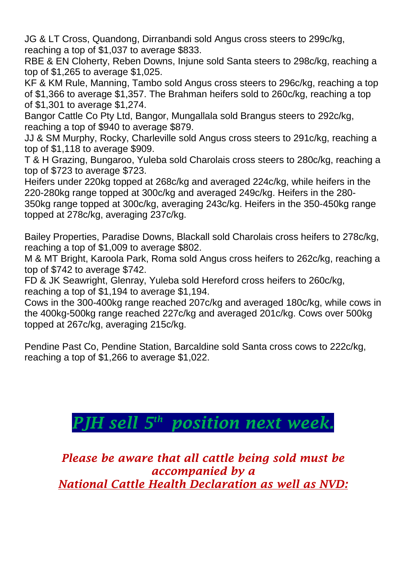JG & LT Cross, Quandong, Dirranbandi sold Angus cross steers to 299c/kg, reaching a top of \$1,037 to average \$833.

RBE & EN Cloherty, Reben Downs, Injune sold Santa steers to 298c/kg, reaching a top of \$1,265 to average \$1,025.

KF & KM Rule, Manning, Tambo sold Angus cross steers to 296c/kg, reaching a top of \$1,366 to average \$1,357. The Brahman heifers sold to 260c/kg, reaching a top of \$1,301 to average \$1,274.

Bangor Cattle Co Pty Ltd, Bangor, Mungallala sold Brangus steers to 292c/kg, reaching a top of \$940 to average \$879.

JJ & SM Murphy, Rocky, Charleville sold Angus cross steers to 291c/kg, reaching a top of \$1,118 to average \$909.

T & H Grazing, Bungaroo, Yuleba sold Charolais cross steers to 280c/kg, reaching a top of \$723 to average \$723.

Heifers under 220kg topped at 268c/kg and averaged 224c/kg, while heifers in the 220-280kg range topped at 300c/kg and averaged 249c/kg. Heifers in the 280- 350kg range topped at 300c/kg, averaging 243c/kg. Heifers in the 350-450kg range topped at 278c/kg, averaging 237c/kg.

Bailey Properties, Paradise Downs, Blackall sold Charolais cross heifers to 278c/kg, reaching a top of \$1,009 to average \$802.

M & MT Bright, Karoola Park, Roma sold Angus cross heifers to 262c/kg, reaching a top of \$742 to average \$742.

FD & JK Seawright, Glenray, Yuleba sold Hereford cross heifers to 260c/kg, reaching a top of \$1,194 to average \$1,194.

Cows in the 300-400kg range reached 207c/kg and averaged 180c/kg, while cows in the 400kg-500kg range reached 227c/kg and averaged 201c/kg. Cows over 500kg topped at 267c/kg, averaging 215c/kg.

Pendine Past Co, Pendine Station, Barcaldine sold Santa cross cows to 222c/kg, reaching a top of \$1,266 to average \$1,022.

## *PJH sell 5 th position next week.*

*Please be aware that all cattle being sold must be accompanied by a National Cattle Health Declaration as well as NVD:*